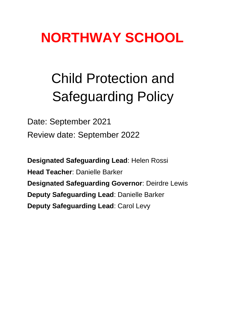# **NORTHWAY SCHOOL**

# Child Protection and Safeguarding Policy

Date: September 2021 Review date: September 2022

**Designated Safeguarding Lead**: Helen Rossi **Head Teacher**: Danielle Barker **Designated Safeguarding Governor**: Deirdre Lewis **Deputy Safeguarding Lead**: Danielle Barker **Deputy Safeguarding Lead**: Carol Levy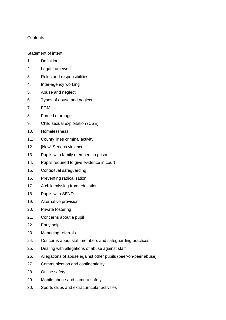# Contents:

#### Statement of intent

- 1. Definitions
- 2. Legal framework
- 3. Roles and responsibilities
- 4. Inter-agency working
- 5. Abuse and neglect
- 6. Types of abuse and neglect
- 7. FGM
- 8. Forced marriage
- 9. Child sexual exploitation (CSE)
- 10. Homelessness
- 11. County lines criminal activity
- 12. [New] Serious violence
- 13. Pupils with family members in prison
- 14. Pupils required to give evidence in court
- 15. Contextual safeguarding
- 16. Preventing radicalisation
- 17. A child missing from education
- 18. Pupils with SEND
- 19. Alternative provision
- 20. Private fostering
- 21. Concerns about a pupil
- 22. Early help
- 23. Managing referrals
- 24. Concerns about staff members and safeguarding practices
- 25. Dealing with allegations of abuse against staff
- 26. Allegations of abuse against other pupils (peer-on-peer abuse)
- 27. Communication and confidentiality
- 28. Online safety
- 29. Mobile phone and camera safety
- 30. Sports clubs and extracurricular activities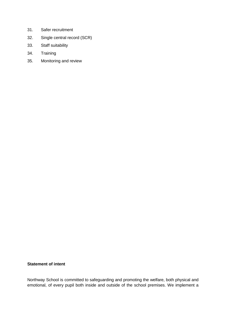- 31. Safer recruitment
- 32. Single central record (SCR)
- 33. Staff suitability
- 34. Training
- 35. Monitoring and review

# **Statement of intent**

Northway School is committed to safeguarding and promoting the welfare, both physical and emotional, of every pupil both inside and outside of the school premises. We implement a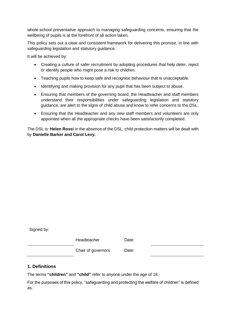whole-school preventative approach to managing safeguarding concerns, ensuring that the wellbeing of pupils is at the forefront of all action taken.

This policy sets out a clear and consistent framework for delivering this promise, in line with safeguarding legislation and statutory guidance.

It will be achieved by:

- Creating a culture of safer recruitment by adopting procedures that help deter, reject or identify people who might pose a risk to children.
- Teaching pupils how to keep safe and recognise behaviour that is unacceptable.
- Identifying and making provision for any pupil that has been subject to abuse.
- Ensuring that members of the governing board, the Headteacher and staff members understand their responsibilities under safeguarding legislation and statutory guidance, are alert to the signs of child abuse and know to refer concerns to the DSL.
- Ensuring that the Headteacher and any new staff members and volunteers are only appointed when all the appropriate checks have been satisfactorily completed.

The DSL is: **Helen Rossi** in the absence of the DSL, child protection matters will be dealt with by **Danielle Barker and Carol Levy.**

Signed by:

Headteacher Date:

Chair of governors Date:

# **1. Definitions**

The terms **"children"** and **"child"** refer to anyone under the age of 18.

For the purposes of this policy, "safeguarding and protecting the welfare of children" is defined as: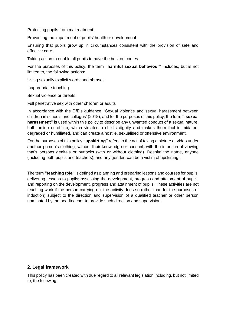Protecting pupils from maltreatment.

Preventing the impairment of pupils' health or development.

Ensuring that pupils grow up in circumstances consistent with the provision of safe and effective care.

Taking action to enable all pupils to have the best outcomes.

For the purposes of this policy, the term **"harmful sexual behaviour"** includes, but is not limited to, the following actions:

Using sexually explicit words and phrases

Inappropriate touching

Sexual violence or threats

Full penetrative sex with other children or adults

In accordance with the DfE's guidance, 'Sexual violence and sexual harassment between children in schools and colleges' (2018), and for the purposes of this policy, the term **"'sexual harassment"** is used within this policy to describe any unwanted conduct of a sexual nature, both online or offline, which violates a child's dignity and makes them feel intimidated, degraded or humiliated, and can create a hostile, sexualised or offensive environment.

For the purposes of this policy **"upskirting"** refers to the act of taking a picture or video under another person's clothing, without their knowledge or consent, with the intention of viewing that's persons genitals or buttocks (with or without clothing). Despite the name, anyone (including both pupils and teachers), and any gender, can be a victim of upskirting.

The term **"teaching role"** is defined as planning and preparing lessons and courses for pupils; delivering lessons to pupils; assessing the development, progress and attainment of pupils; and reporting on the development, progress and attainment of pupils. These activities are not teaching work if the person carrying out the activity does so (other than for the purposes of induction) subject to the direction and supervision of a qualified teacher or other person nominated by the headteacher to provide such direction and supervision.

#### **2. Legal framework**

This policy has been created with due regard to all relevant legislation including, but not limited to, the following: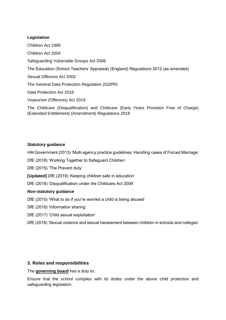# **Legislation**

Children Act 1989 Children Act 2004 Safeguarding Vulnerable Groups Act 2006 The Education (School Teachers' Appraisal) (England) Regulations 2012 (as amended) Sexual Offences Act 2003 The General Data Protection Regulation (GDPR) Data Protection Act 2018 Voyeurism (Offences) Act 2019 The Childcare (Disqualification) and Childcare (Early Years Provision Free of Charge) (Extended Entitlement) (Amendment) Regulations 2018

# **Statutory guidance**

HM Government (2013) 'Multi-agency practice guidelines: Handling cases of Forced Marriage'

DfE (2018) 'Working Together to Safeguard Children'

DfE (2015) 'The Prevent duty'

**[Updated]** DfE (2019) 'Keeping children safe in education'

DfE (2018) 'Disqualification under the Childcare Act 2006'

# **Non-statutory guidance**

DfE (2015) 'What to do if you're worried a child is being abused'

DfE (2018) 'Information sharing'

DfE (2017) 'Child sexual exploitation'

DfE (2018) 'Sexual violence and sexual harassment between children in schools and colleges'

# **3. Roles and responsibilities**

The **governing board** has a duty to:

Ensure that the school complies with its duties under the above child protection and safeguarding legislation.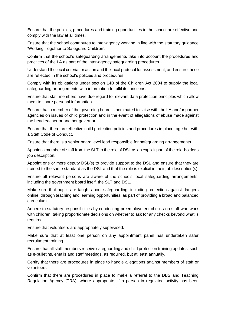Ensure that the policies, procedures and training opportunities in the school are effective and comply with the law at all times.

Ensure that the school contributes to inter-agency working in line with the statutory guidance 'Working Together to Safeguard Children'.

Confirm that the school's safeguarding arrangements take into account the procedures and practices of the LA as part of the inter-agency safeguarding procedures.

Understand the local criteria for action and the local protocol for assessment, and ensure these are reflected in the school's policies and procedures.

Comply with its obligations under section 14B of the Children Act 2004 to supply the local safeguarding arrangements with information to fulfil its functions.

Ensure that staff members have due regard to relevant data protection principles which allow them to share personal information.

Ensure that a member of the governing board is nominated to liaise with the LA and/or partner agencies on issues of child protection and in the event of allegations of abuse made against the headteacher or another governor.

Ensure that there are effective child protection policies and procedures in place together with a Staff Code of Conduct.

Ensure that there is a senior board level lead responsible for safeguarding arrangements.

Appoint a member of staff from the SLT to the role of DSL as an explicit part of the role-holder's job description.

Appoint one or more deputy DSL(s) to provide support to the DSL and ensure that they are trained to the same standard as the DSL and that the role is explicit in their job description(s).

Ensure all relevant persons are aware of the schools local safeguarding arrangements, including the government board itself, the SLT and DSL.

Make sure that pupils are taught about safeguarding, including protection against dangers online, through teaching and learning opportunities, as part of providing a broad and balanced curriculum.

Adhere to statutory responsibilities by conducting preemployment checks on staff who work with children, taking proportionate decisions on whether to ask for any checks beyond what is required.

Ensure that volunteers are appropriately supervised.

Make sure that at least one person on any appointment panel has undertaken safer recruitment training.

Ensure that all staff members receive safeguarding and child protection training updates, such as e-bulletins, emails and staff meetings, as required, but at least annually.

Certify that there are procedures in place to handle allegations against members of staff or volunteers.

Confirm that there are procedures in place to make a referral to the DBS and Teaching Regulation Agency (TRA), where appropriate, if a person in regulated activity has been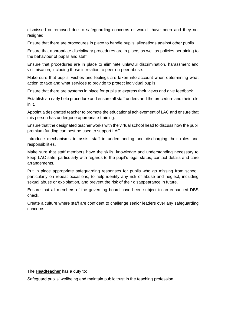dismissed or removed due to safeguarding concerns or would have been and they not resigned.

Ensure that there are procedures in place to handle pupils' allegations against other pupils.

Ensure that appropriate disciplinary procedures are in place, as well as policies pertaining to the behaviour of pupils and staff.

Ensure that procedures are in place to eliminate unlawful discrimination, harassment and victimisation, including those in relation to peer-on-peer abuse.

Make sure that pupils' wishes and feelings are taken into account when determining what action to take and what services to provide to protect individual pupils.

Ensure that there are systems in place for pupils to express their views and give feedback.

Establish an early help procedure and ensure all staff understand the procedure and their role in it.

Appoint a designated teacher to promote the educational achievement of LAC and ensure that this person has undergone appropriate training.

Ensure that the designated teacher works with the virtual school head to discuss how the pupil premium funding can best be used to support LAC.

Introduce mechanisms to assist staff in understanding and discharging their roles and responsibilities.

Make sure that staff members have the skills, knowledge and understanding necessary to keep LAC safe, particularly with regards to the pupil's legal status, contact details and care arrangements.

Put in place appropriate safeguarding responses for pupils who go missing from school, particularly on repeat occasions, to help identify any risk of abuse and neglect, including sexual abuse or exploitation, and prevent the risk of their disappearance in future.

Ensure that all members of the governing board have been subject to an enhanced DBS check.

Create a culture where staff are confident to challenge senior leaders over any safeguarding concerns.

The **Headteacher** has a duty to:

Safeguard pupils' wellbeing and maintain public trust in the teaching profession.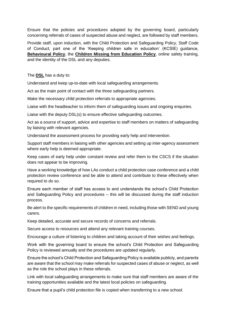Ensure that the policies and procedures adopted by the governing board, particularly concerning referrals of cases of suspected abuse and neglect, are followed by staff members.

Provide staff, upon induction, with the Child Protection and Safeguarding Policy, Staff Code of Conduct, part one of the 'Keeping children safe in education' (KCSIE) guidance, **Behavioural Policy**, the **Children Missing from Education Policy**, online safety training, and the identity of the DSL and any deputies.

The **DSL** has a duty to:

Understand and keep up-to-date with local safeguarding arrangements.

Act as the main point of contact with the three safeguarding partners.

Make the necessary child protection referrals to appropriate agencies.

Liaise with the headteacher to inform them of safeguarding issues and ongoing enquiries.

Liaise with the deputy DSL(s) to ensure effective safeguarding outcomes.

Act as a source of support, advice and expertise to staff members on matters of safeguarding by liaising with relevant agencies.

Understand the assessment process for providing early help and intervention.

Support staff members in liaising with other agencies and setting up inter-agency assessment where early help is deemed appropriate.

Keep cases of early help under constant review and refer them to the CSCS if the situation does not appear to be improving.

Have a working knowledge of how LAs conduct a child protection case conference and a child protection review conference and be able to attend and contribute to these effectively when required to do so.

Ensure each member of staff has access to and understands the school's Child Protection and Safeguarding Policy and procedures – this will be discussed during the staff induction process.

Be alert to the specific requirements of children in need, including those with SEND and young carers.

Keep detailed, accurate and secure records of concerns and referrals.

Secure access to resources and attend any relevant training courses.

Encourage a culture of listening to children and taking account of their wishes and feelings.

Work with the governing board to ensure the school's Child Protection and Safeguarding Policy is reviewed annually and the procedures are updated regularly.

Ensure the school's Child Protection and Safeguarding Policy is available publicly, and parents are aware that the school may make referrals for suspected cases of abuse or neglect, as well as the role the school plays in these referrals.

Link with local safeguarding arrangements to make sure that staff members are aware of the training opportunities available and the latest local policies on safeguarding.

Ensure that a pupil's child protection file is copied when transferring to a new school.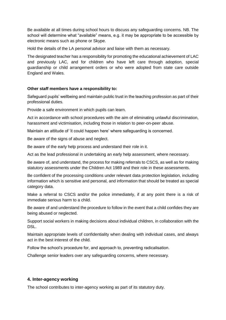Be available at all times during school hours to discuss any safeguarding concerns. NB. The school will determine what "available" means, e.g. it may be appropriate to be accessible by electronic means such as phone or Skype.

Hold the details of the LA personal advisor and liaise with them as necessary.

The designated teacher has a responsibility for promoting the educational achievement of LAC and previously LAC, and for children who have left care through adoption, special guardianship or child arrangement orders or who were adopted from state care outside England and Wales.

#### **Other staff members have a responsibility to:**

Safeguard pupils' wellbeing and maintain public trust in the teaching profession as part of their professional duties.

Provide a safe environment in which pupils can learn.

Act in accordance with school procedures with the aim of eliminating unlawful discrimination, harassment and victimisation, including those in relation to peer-on-peer abuse.

Maintain an attitude of 'it could happen here' where safeguarding is concerned.

Be aware of the signs of abuse and neglect.

Be aware of the early help process and understand their role in it.

Act as the lead professional in undertaking an early help assessment, where necessary.

Be aware of, and understand, the process for making referrals to CSCS, as well as for making statutory assessments under the Children Act 1989 and their role in these assessments.

Be confident of the processing conditions under relevant data protection legislation, including information which is sensitive and personal, and information that should be treated as special category data.

Make a referral to CSCS and/or the police immediately, if at any point there is a risk of immediate serious harm to a child.

Be aware of and understand the procedure to follow in the event that a child confides they are being abused or neglected.

Support social workers in making decisions about individual children, in collaboration with the DSL.

Maintain appropriate levels of confidentiality when dealing with individual cases, and always act in the best interest of the child.

Follow the school's procedure for, and approach to, preventing radicalisation.

Challenge senior leaders over any safeguarding concerns, where necessary.

#### **4. Inter-agency working**

The school contributes to inter-agency working as part of its statutory duty.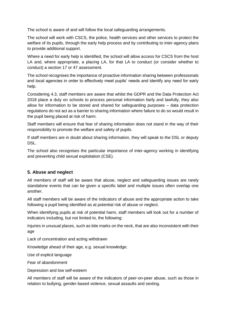The school is aware of and will follow the local safeguarding arrangements.

The school will work with CSCS, the police, health services and other services to protect the welfare of its pupils, through the early help process and by contributing to inter-agency plans to provide additional support.

Where a need for early help is identified, the school will allow access for CSCS from the host LA and, where appropriate, a placing LA, for that LA to conduct (or consider whether to conduct) a section 17 or 47 assessment.

The school recognises the importance of proactive information sharing between professionals and local agencies in order to effectively meet pupils' needs and identify any need for early help.

Considering 4.3, staff members are aware that whilst the GDPR and the Data Protection Act 2018 place a duty on schools to process personal information fairly and lawfully, they also allow for information to be stored and shared for safeguarding purposes – data protection regulations do not act as a barrier to sharing information where failure to do so would result in the pupil being placed at risk of harm.

Staff members will ensure that fear of sharing information does not stand in the way of their responsibility to promote the welfare and safety of pupils.

If staff members are in doubt about sharing information, they will speak to the DSL or deputy DSL.

The school also recognises the particular importance of inter-agency working in identifying and preventing child sexual exploitation (CSE).

# **5. Abuse and neglect**

All members of staff will be aware that abuse, neglect and safeguarding issues are rarely standalone events that can be given a specific label and multiple issues often overlap one another.

All staff members will be aware of the indicators of abuse and the appropriate action to take following a pupil being identified as at potential risk of abuse or neglect.

When identifying pupils at risk of potential harm, staff members will look out for a number of indicators including, but not limited to, the following:

Injuries in unusual places, such as bite marks on the neck, that are also inconsistent with their age

Lack of concentration and acting withdrawn

Knowledge ahead of their age, e.g. sexual knowledge.

Use of explicit language

Fear of abandonment

Depression and low self-esteem

All members of staff will be aware of the indicators of peer-on-peer abuse, such as those in relation to bullying, gender-based violence, sexual assaults and sexting.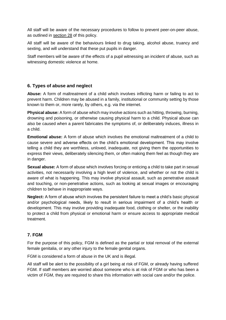All staff will be aware of the necessary procedures to follow to prevent peer-on-peer abuse, as outlined in section 28 of this policy.

All staff will be aware of the behaviours linked to drug taking, alcohol abuse, truancy and sexting, and will understand that these put pupils in danger.

Staff members will be aware of the effects of a pupil witnessing an incident of abuse, such as witnessing domestic violence at home.

# **6. Types of abuse and neglect**

**Abuse:** A form of maltreatment of a child which involves inflicting harm or failing to act to prevent harm. Children may be abused in a family, institutional or community setting by those known to them or, more rarely, by others, e.g. via the internet.

**Physical abuse:** A form of abuse which may involve actions such as hitting, throwing, burning, drowning and poisoning, or otherwise causing physical harm to a child. Physical abuse can also be caused when a parent fabricates the symptoms of, or deliberately induces, illness in a child.

**Emotional abuse:** A form of abuse which involves the emotional maltreatment of a child to cause severe and adverse effects on the child's emotional development. This may involve telling a child they are worthless, unloved, inadequate, not giving them the opportunities to express their views, deliberately silencing them, or often making them feel as though they are in danger.

**Sexual abuse:** A form of abuse which involves forcing or enticing a child to take part in sexual activities, not necessarily involving a high level of violence, and whether or not the child is aware of what is happening. This may involve physical assault, such as penetrative assault and touching, or non-penetrative actions, such as looking at sexual images or encouraging children to behave in inappropriate ways.

**Neglect:** A form of abuse which involves the persistent failure to meet a child's basic physical and/or psychological needs, likely to result in serious impairment of a child's health or development. This may involve providing inadequate food, clothing or shelter, or the inability to protect a child from physical or emotional harm or ensure access to appropriate medical treatment.

# **7. FGM**

For the purpose of this policy, FGM is defined as the partial or total removal of the external female genitalia, or any other injury to the female genital organs.

FGM is considered a form of abuse in the UK and is illegal.

All staff will be alert to the possibility of a girl being at risk of FGM, or already having suffered FGM. If staff members are worried about someone who is at risk of FGM or who has been a victim of FGM, they are required to share this information with social care and/or the police.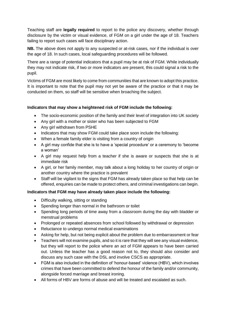Teaching staff are **legally required** to report to the police any discovery, whether through disclosure by the victim or visual evidence, of FGM on a girl under the age of 18. Teachers failing to report such cases will face disciplinary action.

**NB.** The above does not apply to any suspected or at-risk cases, nor if the individual is over the age of 18. In such cases, local safeguarding procedures will be followed.

There are a range of potential indicators that a pupil may be at risk of FGM. While individually they may not indicate risk, if two or more indicators are present, this could signal a risk to the pupil.

Victims of FGM are most likely to come from communities that are known to adopt this practice. It is important to note that the pupil may not yet be aware of the practice or that it may be conducted on them, so staff will be sensitive when broaching the subject.

# **Indicators that may show a heightened risk of FGM include the following:**

- The socio-economic position of the family and their level of integration into UK society
- Any girl with a mother or sister who has been subjected to FGM
- Any girl withdrawn from PSHE
- Indicators that may show FGM could take place soon include the following:
- When a female family elder is visiting from a country of origin
- A girl may confide that she is to have a 'special procedure' or a ceremony to 'become a woman'
- A girl may request help from a teacher if she is aware or suspects that she is at immediate risk
- A girl, or her family member, may talk about a long holiday to her country of origin or another country where the practice is prevalent
- Staff will be vigilant to the signs that FGM has already taken place so that help can be offered, enquiries can be made to protect others, and criminal investigations can begin.

# **Indicators that FGM may have already taken place include the following:**

- Difficulty walking, sitting or standing
- Spending longer than normal in the bathroom or toilet
- Spending long periods of time away from a classroom during the day with bladder or menstrual problems
- Prolonged or repeated absences from school followed by withdrawal or depression
- Reluctance to undergo normal medical examinations
- Asking for help, but not being explicit about the problem due to embarrassment or fear
- Teachers will not examine pupils, and so it is rare that they will see any visual evidence, but they will report to the police where an act of FGM appears to have been carried out. Unless the teacher has a good reason not to, they should also consider and discuss any such case with the DSL and involve CSCS as appropriate.
- FGM is also included in the definition of 'honour-based' violence (HBV), which involves crimes that have been committed to defend the honour of the family and/or community, alongside forced marriage and breast ironing.
- All forms of HBV are forms of abuse and will be treated and escalated as such.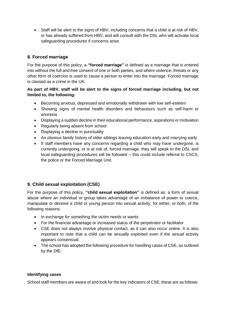Staff will be alert to the signs of HBV, including concerns that a child is at risk of HBV, or has already suffered from HBV, and will consult with the DSL who will activate local safeguarding procedures if concerns arise.

# **8. Forced marriage**

For the purpose of this policy, a **"forced marriage"** is defined as a marriage that is entered into without the full and free consent of one or both parties, and where violence, threats or any other form of coercion is used to cause a person to enter into the marriage. Forced marriage is classed as a crime in the UK.

# **As part of HBV, staff will be alert to the signs of forced marriage including, but not limited to, the following:**

- Becoming anxious, depressed and emotionally withdrawn with low self-esteem
- Showing signs of mental health disorders and behaviours such as self-harm or anorexia
- Displaying a sudden decline in their educational performance, aspirations or motivation
- Regularly being absent from school
- Displaying a decline in punctuality
- An obvious family history of older siblings leaving education early and marrying early
- If staff members have any concerns regarding a child who may have undergone, is currently undergoing, or is at risk of, forced marriage, they will speak to the DSL and local safeguarding procedures will be followed – this could include referral to CSCS, the police or the Forced Marriage Unit.

# **9. Child sexual exploitation (CSE)**

For the purpose of this policy, **"child sexual exploitation"** is defined as: a form of sexual abuse where an individual or group takes advantage of an imbalance of power to coerce, manipulate or deceive a child or young person into sexual activity, for either, or both, of the following reasons:

- In exchange for something the victim needs or wants
- For the financial advantage or increased status of the perpetrator or facilitator
- CSE does not always involve physical contact, as it can also occur online. It is also important to note that a child can be sexually exploited even if the sexual activity appears consensual.
- The school has adopted the following procedure for handling cases of CSE, as outlined by the DfE:

# **Identifying cases**

School staff members are aware of and look for the key indicators of CSE; these are as follows: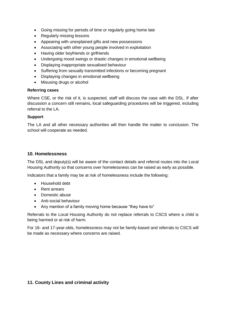- Going missing for periods of time or regularly going home late
- Regularly missing lessons
- Appearing with unexplained gifts and new possessions
- Associating with other young people involved in exploitation
- Having older boyfriends or girlfriends
- Undergoing mood swings or drastic changes in emotional wellbeing
- Displaying inappropriate sexualised behaviour
- Suffering from sexually transmitted infections or becoming pregnant
- Displaying changes in emotional wellbeing
- Misusing drugs or alcohol

#### **Referring cases**

Where CSE, or the risk of it, is suspected, staff will discuss the case with the DSL. If after discussion a concern still remains, local safeguarding procedures will be triggered, including referral to the LA.

#### **Support**

The LA and all other necessary authorities will then handle the matter to conclusion. The school will cooperate as needed.

## **10. Homelessness**

The DSL and deputy(s) will be aware of the contact details and referral routes into the Local Housing Authority so that concerns over homelessness can be raised as early as possible.

Indicators that a family may be at risk of homelessness include the following:

- Household debt
- Rent arrears
- Domestic abuse
- Anti-social behaviour
- Any mention of a family moving home because "they have to"

Referrals to the Local Housing Authority do not replace referrals to CSCS where a child is being harmed or at risk of harm.

For 16- and 17-year-olds, homelessness may not be family-based and referrals to CSCS will be made as necessary where concerns are raised.

# **11. County Lines and criminal activity**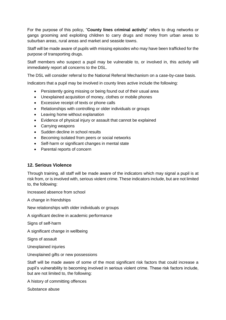For the purpose of this policy, "**County lines criminal activity**" refers to drug networks or gangs grooming and exploiting children to carry drugs and money from urban areas to suburban areas, rural areas and market and seaside towns.

Staff will be made aware of pupils with missing episodes who may have been trafficked for the purpose of transporting drugs.

Staff members who suspect a pupil may be vulnerable to, or involved in, this activity will immediately report all concerns to the DSL.

The DSL will consider referral to the National Referral Mechanism on a case-by-case basis.

Indicators that a pupil may be involved in county lines active include the following:

- Persistently going missing or being found out of their usual area
- Unexplained acquisition of money, clothes or mobile phones
- Excessive receipt of texts or phone calls
- Relationships with controlling or older individuals or groups
- Leaving home without explanation
- Evidence of physical injury or assault that cannot be explained
- Carrying weapons
- Sudden decline in school results
- **Becoming isolated from peers or social networks**
- Self-harm or significant changes in mental state
- Parental reports of concern

# **12. Serious Violence**

Through training, all staff will be made aware of the indicators which may signal a pupil is at risk from, or is involved with, serious violent crime. These indicators include, but are not limited to, the following:

Increased absence from school

A change in friendships

New relationships with older individuals or groups

A significant decline in academic performance

Signs of self-harm

A significant change in wellbeing

Signs of assault

Unexplained injuries

Unexplained gifts or new possessions

Staff will be made aware of some of the most significant risk factors that could increase a pupil's vulnerability to becoming involved in serious violent crime. These risk factors include, but are not limited to, the following:

A history of committing offences

Substance abuse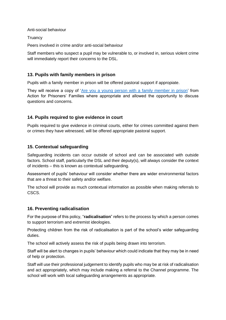Anti-social behaviour

**Truancy** 

Peers involved in crime and/or anti-social behaviour

Staff members who suspect a pupil may be vulnerable to, or involved in, serious violent crime will immediately report their concerns to the DSL.

# **13. Pupils with family members in prison**

Pupils with a family member in prison will be offered pastoral support if appropiate.

They will receive a copy of ['Are you a young person with a family member in prison'](https://www.nicco.org.uk/directory-of-resources) from Action for Prisoners' Families where appropriate and allowed the opportunity to discuss questions and concerns.

# **14. Pupils required to give evidence in court**

Pupils required to give evidence in criminal courts, either for crimes committed against them or crimes they have witnessed, will be offered appropriate pastoral support.

# **15. Contextual safeguarding**

Safeguarding incidents can occur outside of school and can be associated with outside factors. School staff, particularly the DSL and their deputy(s), will always consider the context of incidents – this is known as contextual safeguarding.

Assessment of pupils' behaviour will consider whether there are wider environmental factors that are a threat to their safety and/or welfare.

The school will provide as much contextual information as possible when making referrals to CSCS.

# **16. Preventing radicalisation**

For the purpose of this policy, "**radicalisation**" refers to the process by which a person comes to support terrorism and extremist ideologies.

Protecting children from the risk of radicalisation is part of the school's wider safeguarding duties.

The school will actively assess the risk of pupils being drawn into terrorism.

Staff will be alert to changes in pupils' behaviour which could indicate that they may be in need of help or protection.

Staff will use their professional judgement to identify pupils who may be at risk of radicalisation and act appropriately, which may include making a referral to the Channel programme. The school will work with local safeguarding arrangements as appropriate.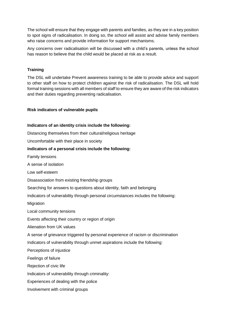The school will ensure that they engage with parents and families, as they are in a key position to spot signs of radicalisation. In doing so, the school will assist and advise family members who raise concerns and provide information for support mechanisms.

Any concerns over radicalisation will be discussed with a child's parents, unless the school has reason to believe that the child would be placed at risk as a result.

## **Training**

The DSL will undertake Prevent awareness training to be able to provide advice and support to other staff on how to protect children against the risk of radicalisation. The DSL will hold formal training sessions with all members of staff to ensure they are aware of the risk indicators and their duties regarding preventing radicalisation.

#### **Risk indicators of vulnerable pupils**

#### **Indicators of an identity crisis include the following:**

Distancing themselves from their cultural/religious heritage

Uncomfortable with their place in society

#### **Indicators of a personal crisis include the following:**

Family tensions

A sense of isolation

Low self-esteem

Disassociation from existing friendship groups

Searching for answers to questions about identity, faith and belonging

Indicators of vulnerability through personal circumstances includes the following:

**Migration** 

Local community tensions

Events affecting their country or region of origin

Alienation from UK values

A sense of grievance triggered by personal experience of racism or discrimination

Indicators of vulnerability through unmet aspirations include the following:

Perceptions of injustice

Feelings of failure

Rejection of civic life

Indicators of vulnerability through criminality:

Experiences of dealing with the police

Involvement with criminal groups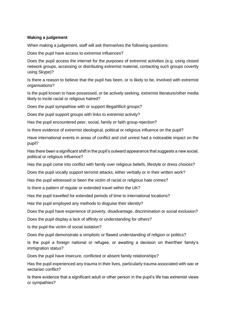## **Making a judgement**

When making a judgement, staff will ask themselves the following questions:

Does the pupil have access to extremist influences?

Does the pupil access the internet for the purposes of extremist activities (e.g. using closed network groups, accessing or distributing extremist material, contacting such groups covertly using Skype)?

Is there a reason to believe that the pupil has been, or is likely to be, involved with extremist organisations?

Is the pupil known to have possessed, or be actively seeking, extremist literature/other media likely to incite racial or religious hatred?

Does the pupil sympathise with or support illegal/illicit groups?

Does the pupil support groups with links to extremist activity?

Has the pupil encountered peer, social, family or faith group rejection?

Is there evidence of extremist ideological, political or religious influence on the pupil?

Have international events in areas of conflict and civil unrest had a noticeable impact on the pupil?

Has there been a significant shift in the pupil's outward appearance that suggests a new social, political or religious influence?

Has the pupil come into conflict with family over religious beliefs, lifestyle or dress choices?

Does the pupil vocally support terrorist attacks, either verbally or in their written work?

Has the pupil witnessed or been the victim of racial or religious hate crimes?

Is there a pattern of regular or extended travel within the UK?

Has the pupil travelled for extended periods of time to international locations?

Has the pupil employed any methods to disguise their identity?

Does the pupil have experience of poverty, disadvantage, discrimination or social exclusion?

Does the pupil display a lack of affinity or understanding for others?

Is the pupil the victim of social isolation?

Does the pupil demonstrate a simplistic or flawed understanding of religion or politics?

Is the pupil a foreign national or refugee, or awaiting a decision on their/their family's immigration status?

Does the pupil have insecure, conflicted or absent family relationships?

Has the pupil experienced any trauma in their lives, particularly trauma associated with war or sectarian conflict?

Is there evidence that a significant adult or other person in the pupil's life has extremist views or sympathies?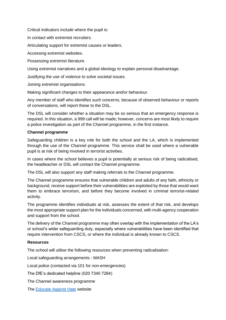Critical indicators include where the pupil is:

In contact with extremist recruiters.

Articulating support for extremist causes or leaders.

Accessing extremist websites.

Possessing extremist literature.

Using extremist narratives and a global ideology to explain personal disadvantage.

Justifying the use of violence to solve societal issues.

Joining extremist organisations.

Making significant changes to their appearance and/or behaviour.

Any member of staff who identifies such concerns, because of observed behaviour or reports of conversations, will report these to the DSL.

The DSL will consider whether a situation may be so serious that an emergency response is required. In this situation, a 999 call will be made; however, concerns are most likely to require a police investigation as part of the Channel programme, in the first instance.

#### **Channel programme**

Safeguarding children is a key role for both the school and the LA, which is implemented through the use of the Channel programme. This service shall be used where a vulnerable pupil is at risk of being involved in terrorist activities.

In cases where the school believes a pupil is potentially at serious risk of being radicalised, the headteacher or DSL will contact the Channel programme.

The DSL will also support any staff making referrals to the Channel programme.

The Channel programme ensures that vulnerable children and adults of any faith, ethnicity or background, receive support before their vulnerabilities are exploited by those that would want them to embrace terrorism, and before they become involved in criminal terrorist-related activity.

The programme identifies individuals at risk, assesses the extent of that risk, and develops the most appropriate support plan for the individuals concerned, with multi-agency cooperation and support from the school.

The delivery of the Channel programme may often overlap with the implementation of the LA's or school's wider safeguarding duty, especially where vulnerabilities have been identified that require intervention from CSCS, or where the individual is already known to CSCS.

#### **Resources**

The school will utilise the following resources when preventing radicalisation:

Local safeguarding arrangements - MASH

Local police (contacted via 101 for non-emergencies)

The DfE's dedicated helpline (020 7340 7264)

The Channel awareness programme

The [Educate Against](http://educateagainsthate.com/) Hate website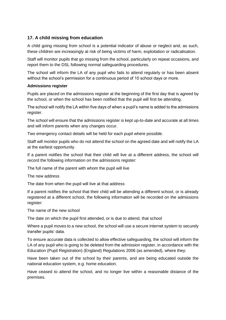# **17. A child missing from education**

A child going missing from school is a potential indicator of abuse or neglect and, as such, these children are increasingly at risk of being victims of harm, exploitation or radicalisation.

Staff will monitor pupils that go missing from the school, particularly on repeat occasions, and report them to the DSL following normal safeguarding procedures.

The school will inform the LA of any pupil who fails to attend regularly or has been absent without the school's permission for a continuous period of 10 school days or more.

#### **Admissions register**

Pupils are placed on the admissions register at the beginning of the first day that is agreed by the school, or when the school has been notified that the pupil will first be attending.

The school will notify the LA within five days of when a pupil's name is added to the admissions register.

The school will ensure that the admissions register is kept up-to-date and accurate at all times and will inform parents when any changes occur.

Two emergency contact details will be held for each pupil where possible.

Staff will monitor pupils who do not attend the school on the agreed date and will notify the LA at the earliest opportunity.

If a parent notifies the school that their child will live at a different address, the school will record the following information on the admissions register:

The full name of the parent with whom the pupil will live

The new address

The date from when the pupil will live at that address

If a parent notifies the school that their child will be attending a different school, or is already registered at a different school, the following information will be recorded on the admissions register:

The name of the new school

The date on which the pupil first attended, or is due to attend, that school

Where a pupil moves to a new school, the school will use a secure internet system to securely transfer pupils' data.

To ensure accurate data is collected to allow effective safeguarding, the school will inform the LA of any pupil who is going to be deleted from the admission register, in accordance with the Education (Pupil Registration) (England) Regulations 2006 (as amended), where they:

Have been taken out of the school by their parents, and are being educated outside the national education system, e.g. home education.

Have ceased to attend the school, and no longer live within a reasonable distance of the premises.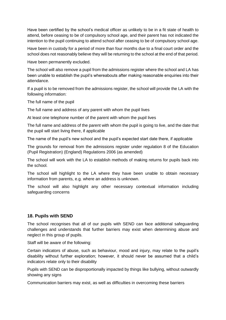Have been certified by the school's medical officer as unlikely to be in a fit state of health to attend, before ceasing to be of compulsory school age, and their parent has not indicated the intention to the pupil continuing to attend school after ceasing to be of compulsory school age.

Have been in custody for a period of more than four months due to a final court order and the school does not reasonably believe they will be returning to the school at the end of that period.

Have been permanently excluded.

The school will also remove a pupil from the admissions register where the school and LA has been unable to establish the pupil's whereabouts after making reasonable enquiries into their attendance.

If a pupil is to be removed from the admissions register, the school will provide the LA with the following information:

The full name of the pupil

The full name and address of any parent with whom the pupil lives

At least one telephone number of the parent with whom the pupil lives

The full name and address of the parent with whom the pupil is going to live, and the date that the pupil will start living there, if applicable

The name of the pupil's new school and the pupil's expected start date there, if applicable

The grounds for removal from the admissions register under regulation 8 of the Education (Pupil Registration) (England) Regulations 2006 (as amended)

The school will work with the LA to establish methods of making returns for pupils back into the school.

The school will highlight to the LA where they have been unable to obtain necessary information from parents, e.g. where an address is unknown.

The school will also highlight any other necessary contextual information including safeguarding concerns

# **18. Pupils with SEND**

The school recognises that all of our pupils with SEND can face additional safeguarding challenges and understands that further barriers may exist when determining abuse and neglect in this group of pupils.

Staff will be aware of the following:

Certain indicators of abuse, such as behaviour, mood and injury, may relate to the pupil's disability without further exploration; however, it should never be assumed that a child's indicators relate only to their disability

Pupils with SEND can be disproportionally impacted by things like bullying, without outwardly showing any signs

Communication barriers may exist, as well as difficulties in overcoming these barriers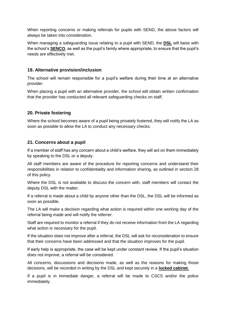When reporting concerns or making referrals for pupils with SEND, the above factors will always be taken into consideration.

When managing a safeguarding issue relating to a pupil with SEND, the **DSL** will liaise with the school's **SENCO**, as well as the pupil's family where appropriate, to ensure that the pupil's needs are effectively met.

# **19. Alternative provision/inclusion**

The school will remain responsible for a pupil's welfare during their time at an alternative provider.

When placing a pupil with an alternative provider, the school will obtain written confirmation that the provider has conducted all relevant safeguarding checks on staff.

# **20. Private fostering**

Where the school becomes aware of a pupil being privately fostered, they will notify the LA as soon as possible to allow the LA to conduct any necessary checks.

# **21. Concerns about a pupil**

If a member of staff has any concern about a child's welfare, they will act on them immediately by speaking to the DSL or a deputy.

All staff members are aware of the procedure for reporting concerns and understand their responsibilities in relation to confidentiality and information sharing, as outlined in section 28 of this policy.

Where the DSL is not available to discuss the concern with, staff members will contact the deputy DSL with the matter.

If a referral is made about a child by anyone other than the DSL, the DSL will be informed as soon as possible.

The LA will make a decision regarding what action is required within one working day of the referral being made and will notify the referrer.

Staff are required to monitor a referral if they do not receive information from the LA regarding what action is necessary for the pupil.

If the situation does not improve after a referral, the DSL will ask for reconsideration to ensure that their concerns have been addressed and that the situation improves for the pupil.

If early help is appropriate, the case will be kept under constant review. If the pupil's situation does not improve, a referral will be considered.

All concerns, discussions and decisions made, as well as the reasons for making those decisions, will be recorded in writing by the DSL and kept securely in a **locked cabinet.**

If a pupil is in immediate danger, a referral will be made to CSCS and/or the police immediately.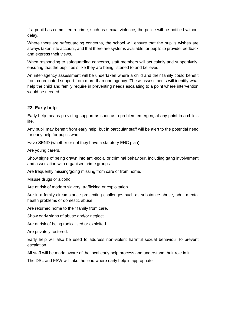If a pupil has committed a crime, such as sexual violence, the police will be notified without delay.

Where there are safeguarding concerns, the school will ensure that the pupil's wishes are always taken into account, and that there are systems available for pupils to provide feedback and express their views.

When responding to safeguarding concerns, staff members will act calmly and supportively, ensuring that the pupil feels like they are being listened to and believed.

An inter-agency assessment will be undertaken where a child and their family could benefit from coordinated support from more than one agency. These assessments will identify what help the child and family require in preventing needs escalating to a point where intervention would be needed.

# **22. Early help**

Early help means providing support as soon as a problem emerges, at any point in a child's life.

Any pupil may benefit from early help, but in particular staff will be alert to the potential need for early help for pupils who:

Have SEND (whether or not they have a statutory EHC plan).

Are young carers.

Show signs of being drawn into anti-social or criminal behaviour, including gang involvement and association with organised crime groups.

Are frequently missing/going missing from care or from home.

Misuse drugs or alcohol.

Are at risk of modern slavery, trafficking or exploitation.

Are in a family circumstance presenting challenges such as substance abuse, adult mental health problems or domestic abuse.

Are returned home to their family from care.

Show early signs of abuse and/or neglect.

Are at risk of being radicalised or exploited.

Are privately fostered.

Early help will also be used to address non-violent harmful sexual behaviour to prevent escalation.

All staff will be made aware of the local early help process and understand their role in it.

The DSL and FSW will take the lead where early help is appropriate.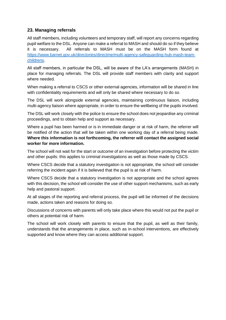# **23. Managing referrals**

All staff members, including volunteers and temporary staff, will report any concerns regarding pupil welfare to the DSL. Anyone can make a referral to MASH and should do so if they believe it is necessary. All referrals to MASH must be on the MASH form found at [https://www.barnet.gov.uk/directories/directme/multi-agency-safeguarding-hub-mash-team](https://www.barnet.gov.uk/directories/directme/multi-agency-safeguarding-hub-mash-team-childrens)[childrens.](https://www.barnet.gov.uk/directories/directme/multi-agency-safeguarding-hub-mash-team-childrens)

All staff members, in particular the DSL, will be aware of the LA's arrangements (MASH) in place for managing referrals. The DSL will provide staff members with clarity and support where needed.

When making a referral to CSCS or other external agencies, information will be shared in line with confidentiality requirements and will only be shared where necessary to do so.

The DSL will work alongside external agencies, maintaining continuous liaison, including multi-agency liaison where appropriate, in order to ensure the wellbeing of the pupils involved.

The DSL will work closely with the police to ensure the school does not jeopardise any criminal proceedings, and to obtain help and support as necessary.

Where a pupil has been harmed or is in immediate danger or at risk of harm, the referrer will be notified of the action that will be taken within one working day of a referral being made. **Where this information is not forthcoming, the referrer will contact the assigned social worker for more information.** 

The school will not wait for the start or outcome of an investigation before protecting the victim and other pupils: this applies to criminal investigations as well as those made by CSCS.

Where CSCS decide that a statutory investigation is not appropriate, the school will consider referring the incident again if it is believed that the pupil is at risk of harm.

Where CSCS decide that a statutory investigation is not appropriate and the school agrees with this decision, the school will consider the use of other support mechanisms, such as early help and pastoral support.

At all stages of the reporting and referral process, the pupil will be informed of the decisions made, actions taken and reasons for doing so.

Discussions of concerns with parents will only take place where this would not put the pupil or others at potential risk of harm.

The school will work closely with parents to ensure that the pupil, as well as their family, understands that the arrangements in place, such as in-school interventions, are effectively supported and know where they can access additional support.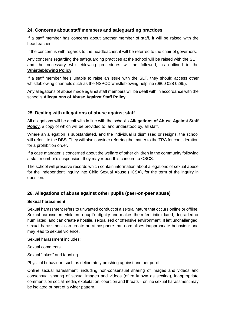# **24. Concerns about staff members and safeguarding practices**

If a staff member has concerns about another member of staff, it will be raised with the headteacher.

If the concern is with regards to the headteacher, it will be referred to the chair of governors.

Any concerns regarding the safeguarding practices at the school will be raised with the SLT, and the necessary whistleblowing procedures will be followed, as outlined in the **Whistleblowing Policy**.

If a staff member feels unable to raise an issue with the SLT, they should access other whistleblowing channels such as the NSPCC whistleblowing helpline (0800 028 0285).

Any allegations of abuse made against staff members will be dealt with in accordance with the school's **Allegations of Abuse Against Staff Policy**.

# **25. Dealing with allegations of abuse against staff**

All allegations will be dealt with in line with the school's **Allegations of Abuse Against Staff Policy**, a copy of which will be provided to, and understood by, all staff.

Where an allegation is substantiated, and the individual is dismissed or resigns, the school will refer it to the DBS. They will also consider referring the matter to the TRA for consideration for a prohibition order.

If a case manager is concerned about the welfare of other children in the community following a staff member's suspension, they may report this concern to CSCS.

The school will preserve records which contain information about allegations of sexual abuse for the Independent Inquiry into Child Sexual Abuse (IICSA), for the term of the inquiry in question.

# **26. Allegations of abuse against other pupils (peer-on-peer abuse)**

# **Sexual harassment**

Sexual harassment refers to unwanted conduct of a sexual nature that occurs online or offline. Sexual harassment violates a pupil's dignity and makes them feel intimidated, degraded or humiliated, and can create a hostile, sexualised or offensive environment. If left unchallenged, sexual harassment can create an atmosphere that normalises inappropriate behaviour and may lead to sexual violence.

Sexual harassment includes:

Sexual comments.

Sexual "jokes" and taunting.

Physical behaviour, such as deliberately brushing against another pupil.

Online sexual harassment, including non-consensual sharing of images and videos and consensual sharing of sexual images and videos (often known as sexting), inappropriate comments on social media, exploitation, coercion and threats – online sexual harassment may be isolated or part of a wider pattern.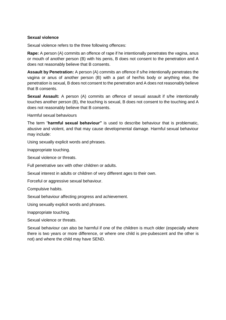#### **Sexual violence**

Sexual violence refers to the three following offences:

**Rape:** A person (A) commits an offence of rape if he intentionally penetrates the vagina, anus or mouth of another person (B) with his penis, B does not consent to the penetration and A does not reasonably believe that B consents.

**Assault by Penetration:** A person (A) commits an offence if s/he intentionally penetrates the vagina or anus of another person (B) with a part of her/his body or anything else, the penetration is sexual, B does not consent to the penetration and A does not reasonably believe that B consents.

**Sexual Assault:** A person (A) commits an offence of sexual assault if s/he intentionally touches another person (B), the touching is sexual, B does not consent to the touching and A does not reasonably believe that B consents.

Harmful sexual behaviours

The term "**harmful sexual behaviour"** is used to describe behaviour that is problematic, abusive and violent, and that may cause developmental damage. Harmful sexual behaviour may include:

Using sexually explicit words and phrases.

Inappropriate touching.

Sexual violence or threats.

Full penetrative sex with other children or adults.

Sexual interest in adults or children of very different ages to their own.

Forceful or aggressive sexual behaviour.

Compulsive habits.

Sexual behaviour affecting progress and achievement.

Using sexually explicit words and phrases.

Inappropriate touching.

Sexual violence or threats.

Sexual behaviour can also be harmful if one of the children is much older (especially where there is two years or more difference, or where one child is pre-pubescent and the other is not) and where the child may have SEND.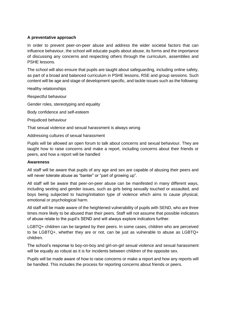## **A preventative approach**

In order to prevent peer-on-peer abuse and address the wider societal factors that can influence behaviour, the school will educate pupils about abuse, its forms and the importance of discussing any concerns and respecting others through the curriculum, assemblies and PSHE lessons.

The school will also ensure that pupils are taught about safeguarding, including online safety, as part of a broad and balanced curriculum in PSHE lessons, RSE and group sessions. Such content will be age and stage of development specific, and tackle issues such as the following:

Healthy relationships

Respectful behaviour

Gender roles, stereotyping and equality

Body confidence and self-esteem

Prejudiced behaviour

That sexual violence and sexual harassment is always wrong

Addressing cultures of sexual harassment

Pupils will be allowed an open forum to talk about concerns and sexual behaviour. They are taught how to raise concerns and make a report, including concerns about their friends or peers, and how a report will be handled

#### **Awareness**

All staff will be aware that pupils of any age and sex are capable of abusing their peers and will never tolerate abuse as "banter" or "part of growing up".

All staff will be aware that peer-on-peer abuse can be manifested in many different ways, including sexting and gender issues, such as girls being sexually touched or assaulted, and boys being subjected to hazing/initiation type of violence which aims to cause physical, emotional or psychological harm.

All staff will be made aware of the heightened vulnerability of pupils with SEND, who are three times more likely to be abused than their peers. Staff will not assume that possible indicators of abuse relate to the pupil's SEND and will always explore indicators further.

LGBTQ+ children can be targeted by their peers. In some cases, children who are perceived to be LGBTQ+, whether they are or not, can be just as vulnerable to abuse as LGBTQ+ children.

The school's response to boy-on-boy and girl-on-girl sexual violence and sexual harassment will be equally as robust as it is for incidents between children of the opposite sex.

Pupils will be made aware of how to raise concerns or make a report and how any reports will be handled. This includes the process for reporting concerns about friends or peers.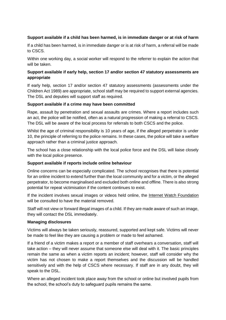## **Support available if a child has been harmed, is in immediate danger or at risk of harm**

If a child has been harmed, is in immediate danger or is at risk of harm, a referral will be made to CSCS.

Within one working day, a social worker will respond to the referrer to explain the action that will be taken.

## **Support available if early help, section 17 and/or section 47 statutory assessments are appropriate**

If early help, section 17 and/or section 47 statutory assessments (assessments under the Children Act 1989) are appropriate, school staff may be required to support external agencies. The DSL and deputies will support staff as required.

#### **Support available if a crime may have been committed**

Rape, assault by penetration and sexual assaults are crimes. Where a report includes such an act, the police will be notified, often as a natural progression of making a referral to CSCS. The DSL will be aware of the local process for referrals to both CSCS and the police.

Whilst the age of criminal responsibility is 10 years of age, if the alleged perpetrator is under 10, the principle of referring to the police remains. In these cases, the police will take a welfare approach rather than a criminal justice approach.

The school has a close relationship with the local police force and the DSL will liaise closely with the local police presence.

#### **Support available if reports include online behaviour**

Online concerns can be especially complicated. The school recognises that there is potential for an online incident to extend further than the local community and for a victim, or the alleged perpetrator, to become marginalised and excluded both online and offline. There is also strong potential for repeat victimisation if the content continues to exist.

If the incident involves sexual images or videos held online, the [Internet Watch Foundation](https://www.iwf.org.uk/) will be consulted to have the material removed.

Staff will not view or forward illegal images of a child. If they are made aware of such an image, they will contact the DSL immediately.

#### **Managing disclosures**

Victims will always be taken seriously, reassured, supported and kept safe. Victims will never be made to feel like they are causing a problem or made to feel ashamed.

If a friend of a victim makes a report or a member of staff overhears a conversation, staff will take action – they will never assume that someone else will deal with it. The basic principles remain the same as when a victim reports an incident; however, staff will consider why the victim has not chosen to make a report themselves and the discussion will be handled sensitively and with the help of CSCS where necessary. If staff are in any doubt, they will speak to the DSL.

Where an alleged incident took place away from the school or online but involved pupils from the school, the school's duty to safeguard pupils remains the same.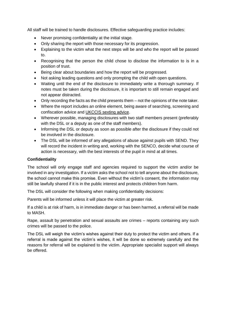All staff will be trained to handle disclosures. Effective safeguarding practice includes:

- Never promising confidentiality at the initial stage.
- Only sharing the report with those necessary for its progression.
- Explaining to the victim what the next steps will be and who the report will be passed to.
- Recognising that the person the child chose to disclose the information to is in a position of trust.
- Being clear about boundaries and how the report will be progressed.
- Not asking leading questions and only prompting the child with open questions.
- Waiting until the end of the disclosure to immediately write a thorough summary. If notes must be taken during the disclosure, it is important to still remain engaged and not appear distracted.
- Only recording the facts as the child presents them not the opinions of the note taker.
- Where the report includes an online element, being aware of searching, screening and confiscation advice and [UKCCIS sexting advice.](https://www.safeguardinginschools.co.uk/responding-sexting-schools-colleges-ukccis/)
- Wherever possible, managing disclosures with two staff members present (preferably with the DSL or a deputy as one of the staff members).
- Informing the DSL or deputy as soon as possible after the disclosure if they could not be involved in the disclosure.
- The DSL will be informed of any allegations of abuse against pupils with SEND. They will record the incident in writing and, working with the SENCO, decide what course of action is necessary, with the best interests of the pupil in mind at all times.

#### **Confidentiality**

The school will only engage staff and agencies required to support the victim and/or be involved in any investigation. If a victim asks the school not to tell anyone about the disclosure, the school cannot make this promise. Even without the victim's consent, the information may still be lawfully shared if it is in the public interest and protects children from harm.

The DSL will consider the following when making confidentiality decisions:

Parents will be informed unless it will place the victim at greater risk.

If a child is at risk of harm, is in immediate danger or has been harmed, a referral will be made to MASH.

Rape, assault by penetration and sexual assaults are crimes – reports containing any such crimes will be passed to the police.

The DSL will weigh the victim's wishes against their duty to protect the victim and others. If a referral is made against the victim's wishes, it will be done so extremely carefully and the reasons for referral will be explained to the victim. Appropriate specialist support will always be offered.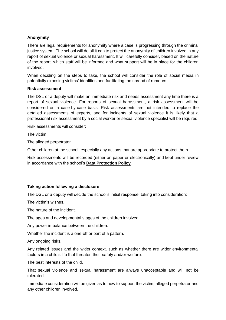# **Anonymity**

There are legal requirements for anonymity where a case is progressing through the criminal justice system. The school will do all it can to protect the anonymity of children involved in any report of sexual violence or sexual harassment. It will carefully consider, based on the nature of the report, which staff will be informed and what support will be in place for the children involved.

When deciding on the steps to take, the school will consider the role of social media in potentially exposing victims' identities and facilitating the spread of rumours.

#### **Risk assessment**

The DSL or a deputy will make an immediate risk and needs assessment any time there is a report of sexual violence. For reports of sexual harassment, a risk assessment will be considered on a case-by-case basis. Risk assessments are not intended to replace the detailed assessments of experts, and for incidents of sexual violence it is likely that a professional risk assessment by a social worker or sexual violence specialist will be required.

Risk assessments will consider:

The victim.

The alleged perpetrator.

Other children at the school, especially any actions that are appropriate to protect them.

Risk assessments will be recorded (either on paper or electronically) and kept under review in accordance with the school's **Data Protection Policy**.

#### **Taking action following a disclosure**

The DSL or a deputy will decide the school's initial response, taking into consideration:

The victim's wishes.

The nature of the incident.

The ages and developmental stages of the children involved.

Any power imbalance between the children.

Whether the incident is a one-off or part of a pattern.

Any ongoing risks.

Any related issues and the wider context, such as whether there are wider environmental factors in a child's life that threaten their safety and/or welfare.

The best interests of the child.

That sexual violence and sexual harassment are always unacceptable and will not be tolerated.

Immediate consideration will be given as to how to support the victim, alleged perpetrator and any other children involved.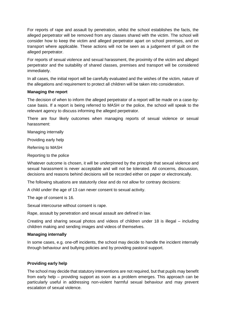For reports of rape and assault by penetration, whilst the school establishes the facts, the alleged perpetrator will be removed from any classes shared with the victim. The school will consider how to keep the victim and alleged perpetrator apart on school premises, and on transport where applicable. These actions will not be seen as a judgement of guilt on the alleged perpetrator.

For reports of sexual violence and sexual harassment, the proximity of the victim and alleged perpetrator and the suitability of shared classes, premises and transport will be considered immediately.

In all cases, the initial report will be carefully evaluated and the wishes of the victim, nature of the allegations and requirement to protect all children will be taken into consideration.

#### **Managing the report**

The decision of when to inform the alleged perpetrator of a report will be made on a case-bycase basis. If a report is being referred to MASH or the police, the school will speak to the relevant agency to discuss informing the alleged perpetrator.

There are four likely outcomes when managing reports of sexual violence or sexual harassment:

Managing internally

Providing early help

Referring to MASH

Reporting to the police

Whatever outcome is chosen, it will be underpinned by the principle that sexual violence and sexual harassment is never acceptable and will not be tolerated. All concerns, discussion, decisions and reasons behind decisions will be recorded either on paper or electronically.

The following situations are statutorily clear and do not allow for contrary decisions:

A child under the age of 13 can never consent to sexual activity.

The age of consent is 16.

Sexual intercourse without consent is rape.

Rape, assault by penetration and sexual assault are defined in law.

Creating and sharing sexual photos and videos of children under 18 is illegal – including children making and sending images and videos of themselves.

#### **Managing internally**

In some cases, e.g. one-off incidents, the school may decide to handle the incident internally through behaviour and bullying policies and by providing pastoral support.

#### **Providing early help**

The school may decide that statutory interventions are not required, but that pupils may benefit from early help – providing support as soon as a problem emerges. This approach can be particularly useful in addressing non-violent harmful sexual behaviour and may prevent escalation of sexual violence.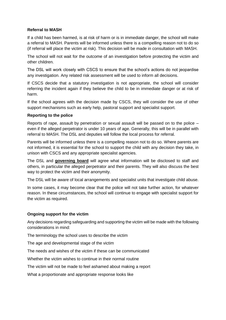# **Referral to MASH**

If a child has been harmed, is at risk of harm or is in immediate danger, the school will make a referral to MASH. Parents will be informed unless there is a compelling reason not to do so (if referral will place the victim at risk). This decision will be made in consultation with MASH.

The school will not wait for the outcome of an investigation before protecting the victim and other children.

The DSL will work closely with CSCS to ensure that the school's actions do not jeopardise any investigation. Any related risk assessment will be used to inform all decisions.

If CSCS decide that a statutory investigation is not appropriate, the school will consider referring the incident again if they believe the child to be in immediate danger or at risk of harm.

If the school agrees with the decision made by CSCS, they will consider the use of other support mechanisms such as early help, pastoral support and specialist support.

#### **Reporting to the police**

Reports of rape, assault by penetration or sexual assault will be passed on to the police – even if the alleged perpetrator is under 10 years of age. Generally, this will be in parallel with referral to MASH. The DSL and deputies will follow the local process for referral.

Parents will be informed unless there is a compelling reason not to do so. Where parents are not informed, it is essential for the school to support the child with any decision they take, in unison with CSCS and any appropriate specialist agencies.

The DSL and **governing board** will agree what information will be disclosed to staff and others, in particular the alleged perpetrator and their parents. They will also discuss the best way to protect the victim and their anonymity.

The DSL will be aware of local arrangements and specialist units that investigate child abuse.

In some cases, it may become clear that the police will not take further action, for whatever reason. In these circumstances, the school will continue to engage with specialist support for the victim as required.

# **Ongoing support for the victim**

Any decisions regarding safeguarding and supporting the victim will be made with the following considerations in mind:

The terminology the school uses to describe the victim

The age and developmental stage of the victim

The needs and wishes of the victim if these can be communicated

Whether the victim wishes to continue in their normal routine

The victim will not be made to feel ashamed about making a report

What a proportionate and appropriate response looks like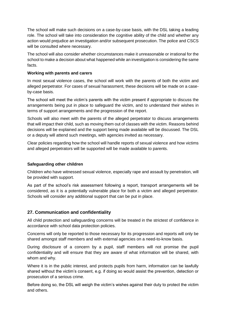The school will make such decisions on a case-by-case basis, with the DSL taking a leading role. The school will take into consideration the cognitive ability of the child and whether any action would prejudice an investigation and/or subsequent prosecution. The police and CSCS will be consulted where necessary.

The school will also consider whether circumstances make it unreasonable or irrational for the school to make a decision about what happened while an investigation is considering the same facts.

## **Working with parents and carers**

In most sexual violence cases, the school will work with the parents of both the victim and alleged perpetrator. For cases of sexual harassment, these decisions will be made on a caseby-case basis.

The school will meet the victim's parents with the victim present if appropriate to discuss the arrangements being put in place to safeguard the victim, and to understand their wishes in terms of support arrangements and the progression of the report.

Schools will also meet with the parents of the alleged perpetrator to discuss arrangements that will impact their child, such as moving them out of classes with the victim. Reasons behind decisions will be explained and the support being made available will be discussed. The DSL or a deputy will attend such meetings, with agencies invited as necessary.

Clear policies regarding how the school will handle reports of sexual violence and how victims and alleged perpetrators will be supported will be made available to parents.

#### **Safeguarding other children**

Children who have witnessed sexual violence, especially rape and assault by penetration, will be provided with support.

As part of the school's risk assessment following a report, transport arrangements will be considered, as it is a potentially vulnerable place for both a victim and alleged perpetrator. Schools will consider any additional support that can be put in place.

# **27. Communication and confidentiality**

All child protection and safeguarding concerns will be treated in the strictest of confidence in accordance with school data protection policies.

Concerns will only be reported to those necessary for its progression and reports will only be shared amongst staff members and with external agencies on a need-to-know basis.

During disclosure of a concern by a pupil, staff members will not promise the pupil confidentiality and will ensure that they are aware of what information will be shared, with whom and why.

Where it is in the public interest, and protects pupils from harm, information can be lawfully shared without the victim's consent, e.g. if doing so would assist the prevention, detection or prosecution of a serious crime.

Before doing so, the DSL will weigh the victim's wishes against their duty to protect the victim and others.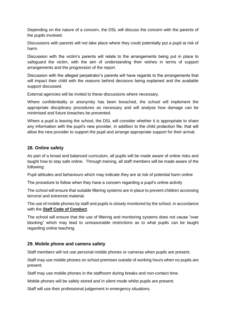Depending on the nature of a concern, the DSL will discuss the concern with the parents of the pupils involved.

Discussions with parents will not take place where they could potentially put a pupil at risk of harm.

Discussion with the victim's parents will relate to the arrangements being put in place to safeguard the victim, with the aim of understanding their wishes in terms of support arrangements and the progression of the report.

Discussion with the alleged perpetrator's parents will have regards to the arrangements that will impact their child with the reasons behind decisions being explained and the available support discussed.

External agencies will be invited to these discussions where necessary.

Where confidentiality or anonymity has been breached, the school will implement the appropriate disciplinary procedures as necessary and will analyse how damage can be minimised and future breaches be prevented.

Where a pupil is leaving the school, the DSL will consider whether it is appropriate to share any information with the pupil's new provider, in addition to the child protection file, that will allow the new provider to support the pupil and arrange appropriate support for their arrival.

## **28. Online safety**

As part of a broad and balanced curriculum, all pupils will be made aware of online risks and taught how to stay safe online. Through training, all staff members will be made aware of the following:

Pupil attitudes and behaviours which may indicate they are at risk of potential harm online

The procedure to follow when they have a concern regarding a pupil's online activity

The school will ensure that suitable filtering systems are in place to prevent children accessing terrorist and extremist material.

The use of mobile phones by staff and pupils is closely monitored by the school, in accordance with the **Staff Code of Conduct**.

The school will ensure that the use of filtering and monitoring systems does not cause "over blocking" which may lead to unreasonable restrictions as to what pupils can be taught regarding online teaching.

#### **29. Mobile phone and camera safety**

Staff members will not use personal mobile phones or cameras when pupils are present.

Staff may use mobile phones on school premises outside of working hours when no pupils are present.

Staff may use mobile phones in the staffroom during breaks and non-contact time.

Mobile phones will be safely stored and in silent mode whilst pupils are present.

Staff will use their professional judgement in emergency situations.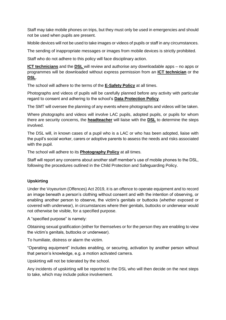Staff may take mobile phones on trips, but they must only be used in emergencies and should not be used when pupils are present.

Mobile devices will not be used to take images or videos of pupils or staff in any circumstances.

The sending of inappropriate messages or images from mobile devices is strictly prohibited.

Staff who do not adhere to this policy will face disciplinary action.

**ICT technicians** and the **DSL** will review and authorise any downloadable apps – no apps or programmes will be downloaded without express permission from an **ICT technician** or the **DSL**.

The school will adhere to the terms of the **E-Safety Policy** at all times.

Photographs and videos of pupils will be carefully planned before any activity with particular regard to consent and adhering to the school's **Data Protection Policy**.

The SMT will oversee the planning of any events where photographs and videos will be taken.

Where photographs and videos will involve LAC pupils, adopted pupils, or pupils for whom there are security concerns, the **headteacher** will liaise with the **DSL** to determine the steps involved.

The DSL will, in known cases of a pupil who is a LAC or who has been adopted, liaise with the pupil's social worker, carers or adoptive parents to assess the needs and risks associated with the pupil.

The school will adhere to its **Photography Policy** at all times.

Staff will report any concerns about another staff member's use of mobile phones to the DSL, following the procedures outlined in the Child Protection and Safeguarding Policy.

# **Upskirting**

Under the Voyeurism (Offences) Act 2019, it is an offence to operate equipment and to record an image beneath a person's clothing without consent and with the intention of observing, or enabling another person to observe, the victim's genitals or buttocks (whether exposed or covered with underwear), in circumstances where their genitals, buttocks or underwear would not otherwise be visible, for a specified purpose.

A "specified purpose" is namely:

Obtaining sexual gratification (either for themselves or for the person they are enabling to view the victim's genitals, buttocks or underwear).

To humiliate, distress or alarm the victim.

"Operating equipment" includes enabling, or securing, activation by another person without that person's knowledge, e.g. a motion activated camera.

Upskirting will not be tolerated by the school.

Any incidents of upskirting will be reported to the DSL who will then decide on the next steps to take, which may include police involvement.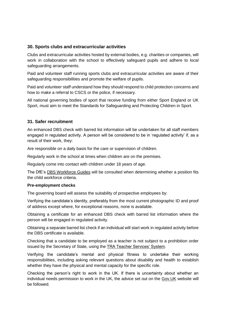# **30. Sports clubs and extracurricular activities**

Clubs and extracurricular activities hosted by external bodies, e.g. charities or companies, will work in collaboration with the school to effectively safeguard pupils and adhere to local safeguarding arrangements.

Paid and volunteer staff running sports clubs and extracurricular activities are aware of their safeguarding responsibilities and promote the welfare of pupils.

Paid and volunteer staff understand how they should respond to child protection concerns and how to make a referral to CSCS or the police, if necessary.

All national governing bodies of sport that receive funding from either Sport England or UK Sport, must aim to meet the Standards for Safeguarding and Protecting Children in Sport.

# **31. Safer recruitment**

An enhanced DBS check with barred list information will be undertaken for all staff members engaged in regulated activity. A person will be considered to be in 'regulated activity' if, as a result of their work, they:

Are responsible on a daily basis for the care or supervision of children.

Regularly work in the school at times when children are on the premises.

Regularly come into contact with children under 18 years of age.

The DfE's [DBS Workforce Guides](https://www.gov.uk/government/publications/dbs-workforce-guidance) will be consulted when determining whether a position fits the child workforce criteria.

#### **Pre-employment checks**

The governing board will assess the suitability of prospective employees by:

Verifying the candidate's identity, preferably from the most current photographic ID and proof of address except where, for exceptional reasons, none is available.

Obtaining a certificate for an enhanced DBS check with barred list information where the person will be engaged in regulated activity.

Obtaining a separate barred list check if an individual will start work in regulated activity before the DBS certificate is available.

Checking that a candidate to be employed as a teacher is not subject to a prohibition order issued by the Secretary of State, using the [TRA Teacher Services' System.](https://teacherservices.education.gov.uk/)

Verifying the candidate's mental and physical fitness to undertake their working responsibilities, including asking relevant questions about disability and health to establish whether they have the physical and mental capacity for the specific role.

Checking the person's right to work in the UK. If there is uncertainty about whether an individual needs permission to work in the UK, the advice set out on the [Gov.UK](https://www.gov.uk/legal-right-work-uk) website will be followed.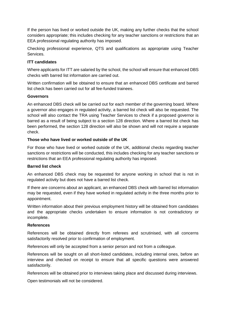If the person has lived or worked outside the UK, making any further checks that the school considers appropriate; this includes checking for any teacher sanctions or restrictions that an EEA professional regulating authority has imposed.

Checking professional experience, QTS and qualifications as appropriate using Teacher Services.

## **ITT candidates**

Where applicants for ITT are salaried by the school, the school will ensure that enhanced DBS checks with barred list information are carried out.

Written confirmation will be obtained to ensure that an enhanced DBS certificate and barred list check has been carried out for all fee-funded trainees.

## **Governors**

An enhanced DBS check will be carried out for each member of the governing board. Where a governor also engages in regulated activity, a barred list check will also be requested. The school will also contact the TRA using Teacher Services to check if a proposed governor is barred as a result of being subject to a section 128 direction. Where a barred list check has been performed, the section 128 direction will also be shown and will not require a separate check.

## **Those who have lived or worked outside of the UK**

For those who have lived or worked outside of the UK, additional checks regarding teacher sanctions or restrictions will be conducted, this includes checking for any teacher sanctions or restrictions that an EEA professional regulating authority has imposed.

#### **Barred list check**

An enhanced DBS check may be requested for anyone working in school that is not in regulated activity but does not have a barred list check.

If there are concerns about an applicant, an enhanced DBS check with barred list information may be requested, even if they have worked in regulated activity in the three months prior to appointment.

Written information about their previous employment history will be obtained from candidates and the appropriate checks undertaken to ensure information is not contradictory or incomplete.

#### **References**

References will be obtained directly from referees and scrutinised, with all concerns satisfactorily resolved prior to confirmation of employment.

References will only be accepted from a senior person and not from a colleague.

References will be sought on all short-listed candidates, including internal ones, before an interview and checked on receipt to ensure that all specific questions were answered satisfactorily.

References will be obtained prior to interviews taking place and discussed during interviews.

Open testimonials will not be considered.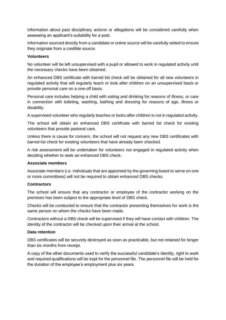Information about past disciplinary actions or allegations will be considered carefully when assessing an applicant's suitability for a post.

Information sourced directly from a candidate or online source will be carefully vetted to ensure they originate from a credible source.

#### **Volunteers**

No volunteer will be left unsupervised with a pupil or allowed to work in regulated activity until the necessary checks have been obtained.

An enhanced DBS certificate with barred list check will be obtained for all new volunteers in regulated activity that will regularly teach or look after children on an unsupervised basis or provide personal care on a one-off basis.

Personal care includes helping a child with eating and drinking for reasons of illness, or care in connection with toileting, washing, bathing and dressing for reasons of age, illness or disability.

A supervised volunteer who regularly teaches or looks after children is not in regulated activity.

The school will obtain an enhanced DBS certificate with barred list check for existing volunteers that provide pastoral care.

Unless there is cause for concern, the school will not request any new DBS certificates with barred list check for existing volunteers that have already been checked.

A risk assessment will be undertaken for volunteers not engaged in regulated activity when deciding whether to seek an enhanced DBS check.

#### **Associate members**

Associate members (i.e. individuals that are appointed by the governing board to serve on one or more committees) will not be required to obtain enhanced DBS checks.

# **Contractors**

The school will ensure that any contractor or employee of the contractor working on the premises has been subject to the appropriate level of DBS check.

Checks will be conducted to ensure that the contractor presenting themselves for work is the same person on whom the checks have been made.

Contractors without a DBS check will be supervised if they will have contact with children. The identity of the contractor will be checked upon their arrival at the school.

#### **Data retention**

DBS certificates will be securely destroyed as soon as practicable, but not retained for longer than six months from receipt.

A copy of the other documents used to verify the successful candidate's identity, right to work and required qualifications will be kept for the personnel file. The personnel file will be held for the duration of the employee's employment plus six years.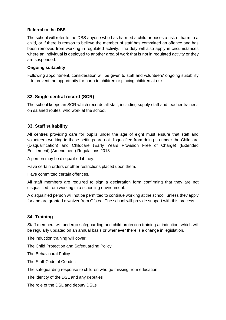## **Referral to the DBS**

The school will refer to the DBS anyone who has harmed a child or poses a risk of harm to a child, or if there is reason to believe the member of staff has committed an offence and has been removed from working in regulated activity. The duty will also apply in circumstances where an individual is deployed to another area of work that is not in regulated activity or they are suspended.

## **Ongoing suitability**

Following appointment, consideration will be given to staff and volunteers' ongoing suitability – to prevent the opportunity for harm to children or placing children at risk.

# **32. Single central record (SCR)**

The school keeps an SCR which records all staff, including supply staff and teacher trainees on salaried routes, who work at the school.

# **33. Staff suitability**

All centres providing care for pupils under the age of eight must ensure that staff and volunteers working in these settings are not disqualified from doing so under the Childcare (Disqualification) and Childcare (Early Years Provision Free of Charge) (Extended Entitlement) (Amendment) Regulations 2018.

A person may be disqualified if they:

Have certain orders or other restrictions placed upon them.

Have committed certain offences.

All staff members are required to sign a declaration form confirming that they are not disqualified from working in a schooling environment.

A disqualified person will not be permitted to continue working at the school, unless they apply for and are granted a waiver from Ofsted. The school will provide support with this process.

# **34. Training**

Staff members will undergo safeguarding and child protection training at induction, which will be regularly updated on an annual basis or whenever there is a change in legislation.

The induction training will cover:

The Child Protection and Safeguarding Policy

The Behavioural Policy

The Staff Code of Conduct

The safeguarding response to children who go missing from education

The identity of the DSL and any deputies

The role of the DSL and deputy DSLs